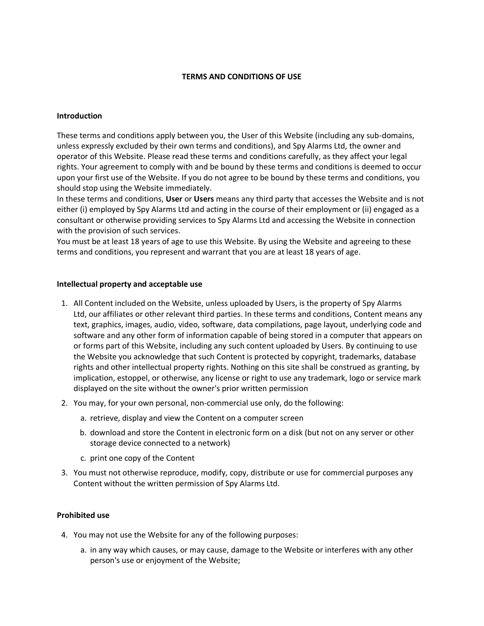### **TERMS AND CONDITIONS OF USE**

#### **Introduction**

These terms and conditions apply between you, the User of this Website (including any sub-domains, unless expressly excluded by their own terms and conditions), and Spy Alarms Ltd, the owner and operator of this Website. Please read these terms and conditions carefully, as they affect your legal rights. Your agreement to comply with and be bound by these terms and conditions is deemed to occur upon your first use of the Website. If you do not agree to be bound by these terms and conditions, you should stop using the Website immediately.

In these terms and conditions, **User** or **Users** means any third party that accesses the Website and is not either (i) employed by Spy Alarms Ltd and acting in the course of their employment or (ii) engaged as a consultant or otherwise providing services to Spy Alarms Ltd and accessing the Website in connection with the provision of such services.

You must be at least 18 years of age to use this Website. By using the Website and agreeing to these terms and conditions, you represent and warrant that you are at least 18 years of age.

#### **Intellectual property and acceptable use**

- 1. All Content included on the Website, unless uploaded by Users, is the property of Spy Alarms Ltd, our affiliates or other relevant third parties. In these terms and conditions, Content means any text, graphics, images, audio, video, software, data compilations, page layout, underlying code and software and any other form of information capable of being stored in a computer that appears on or forms part of this Website, including any such content uploaded by Users. By continuing to use the Website you acknowledge that such Content is protected by copyright, trademarks, database rights and other intellectual property rights. Nothing on this site shall be construed as granting, by implication, estoppel, or otherwise, any license or right to use any trademark, logo or service mark displayed on the site without the owner's prior written permission
- 2. You may, for your own personal, non-commercial use only, do the following:
	- a. retrieve, display and view the Content on a computer screen
	- b. download and store the Content in electronic form on a disk (but not on any server or other storage device connected to a network)
	- c. print one copy of the Content
- 3. You must not otherwise reproduce, modify, copy, distribute or use for commercial purposes any Content without the written permission of Spy Alarms Ltd.

# **Prohibited use**

- 4. You may not use the Website for any of the following purposes:
	- a. in any way which causes, or may cause, damage to the Website or interferes with any other person's use or enjoyment of the Website;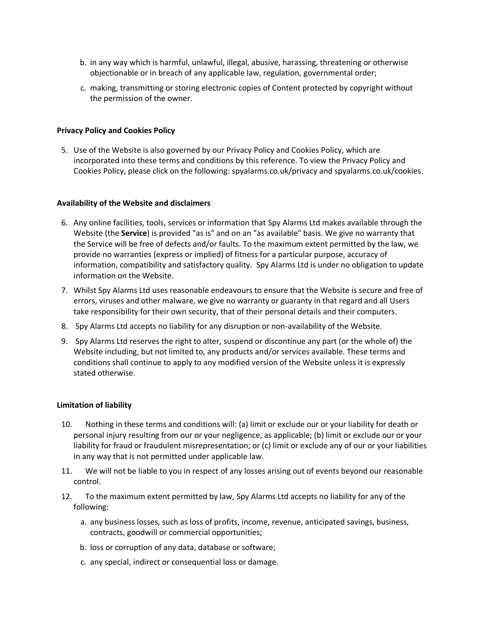- b. in any way which is harmful, unlawful, illegal, abusive, harassing, threatening or otherwise objectionable or in breach of any applicable law, regulation, governmental order;
- c. making, transmitting or storing electronic copies of Content protected by copyright without the permission of the owner.

### **Privacy Policy and Cookies Policy**

5. Use of the Website is also governed by our Privacy Policy and Cookies Policy, which are incorporated into these terms and conditions by this reference. To view the Privacy Policy and Cookies Policy, please click on the following: spyalarms.co.uk/privacy and spyalarms.co.uk/cookies.

#### **Availability of the Website and disclaimers**

- 6. Any online facilities, tools, services or information that Spy Alarms Ltd makes available through the Website (the **Service**) is provided "as is" and on an "as available" basis. We give no warranty that the Service will be free of defects and/or faults. To the maximum extent permitted by the law, we provide no warranties (express or implied) of fitness for a particular purpose, accuracy of information, compatibility and satisfactory quality. Spy Alarms Ltd is under no obligation to update information on the Website.
- 7. Whilst Spy Alarms Ltd uses reasonable endeavours to ensure that the Website is secure and free of errors, viruses and other malware, we give no warranty or guaranty in that regard and all Users take responsibility for their own security, that of their personal details and their computers.
- 8. Spy Alarms Ltd accepts no liability for any disruption or non-availability of the Website.
- 9. Spy Alarms Ltd reserves the right to alter, suspend or discontinue any part (or the whole of) the Website including, but not limited to, any products and/or services available. These terms and conditions shall continue to apply to any modified version of the Website unless it is expressly stated otherwise.

#### **Limitation of liability**

- 10. Nothing in these terms and conditions will: (a) limit or exclude our or your liability for death or personal injury resulting from our or your negligence, as applicable; (b) limit or exclude our or your liability for fraud or fraudulent misrepresentation; or (c) limit or exclude any of our or your liabilities in any way that is not permitted under applicable law.
- 11. We will not be liable to you in respect of any losses arising out of events beyond our reasonable control.
- 12. To the maximum extent permitted by law, Spy Alarms Ltd accepts no liability for any of the following:
	- a. any business losses, such as loss of profits, income, revenue, anticipated savings, business, contracts, goodwill or commercial opportunities;
	- b. loss or corruption of any data, database or software;
	- c. any special, indirect or consequential loss or damage.